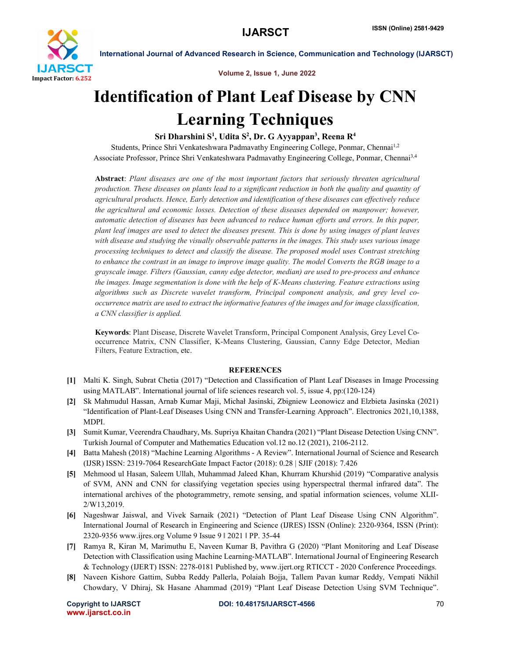

International Journal of Advanced Research in Science, Communication and Technology (IJARSCT)

Volume 2, Issue 1, June 2022

# Identification of Plant Leaf Disease by CNN Learning Techniques

# Sri Dharshini S<sup>1</sup>, Udita S<sup>2</sup>, Dr. G Ayyappan<sup>3</sup>, Reena R<sup>4</sup>

Students, Prince Shri Venkateshwara Padmavathy Engineering College, Ponmar, Chennai<sup>1,2</sup> Associate Professor, Prince Shri Venkateshwara Padmavathy Engineering College, Ponmar, Chennai3,4

Abstract: *Plant diseases are one of the most important factors that seriously threaten agricultural production. These diseases on plants lead to a significant reduction in both the quality and quantity of agricultural products. Hence, Early detection and identification of these diseases can effectively reduce the agricultural and economic losses. Detection of these diseases depended on manpower; however, automatic detection of diseases has been advanced to reduce human efforts and errors. In this paper, plant leaf images are used to detect the diseases present. This is done by using images of plant leaves with disease and studying the visually observable patterns in the images. This study uses various image processing techniques to detect and classify the disease. The proposed model uses Contrast stretching to enhance the contrast in an image to improve image quality. The model Converts the RGB image to a grayscale image. Filters (Gaussian, canny edge detector, median) are used to pre-process and enhance the images. Image segmentation is done with the help of K-Means clustering. Feature extractions using algorithms such as Discrete wavelet transform, Principal component analysis, and grey level cooccurrence matrix are used to extract the informative features of the images and for image classification, a CNN classifier is applied.*

Keywords: Plant Disease, Discrete Wavelet Transform, Principal Component Analysis, Grey Level Cooccurrence Matrix, CNN Classifier, K-Means Clustering, Gaussian, Canny Edge Detector, Median Filters, Feature Extraction, etc.

## **REFERENCES**

- [1] Malti K. Singh, Subrat Chetia (2017) "Detection and Classification of Plant Leaf Diseases in Image Processing using MATLAB". International journal of life sciences research vol. 5, issue 4, pp:(120-124)
- [2] Sk Mahmudul Hassan, Arnab Kumar Maji, Michał Jasinski, Zbigniew Leonowicz and Elzbieta Jasinska (2021) "Identification of Plant-Leaf Diseases Using CNN and Transfer-Learning Approach". Electronics 2021,10,1388, MDPI.
- [3] Sumit Kumar, Veerendra Chaudhary, Ms. Supriya Khaitan Chandra (2021) "Plant Disease Detection Using CNN". Turkish Journal of Computer and Mathematics Education vol.12 no.12 (2021), 2106-2112.
- [4] Batta Mahesh (2018) "Machine Learning Algorithms A Review". International Journal of Science and Research (IJSR) ISSN: 2319-7064 ResearchGate Impact Factor (2018): 0.28 | SJIF (2018): 7.426
- [5] Mehmood ul Hasan, Saleem Ullah, Muhammad Jaleed Khan, Khurram Khurshid (2019) "Comparative analysis of SVM, ANN and CNN for classifying vegetation species using hyperspectral thermal infrared data". The international archives of the photogrammetry, remote sensing, and spatial information sciences, volume XLII-2/W13,2019.
- [6] Nageshwar Jaiswal, and Vivek Sarnaik (2021) "Detection of Plant Leaf Disease Using CNN Algorithm". International Journal of Research in Engineering and Science (IJRES) ISSN (Online): 2320-9364, ISSN (Print): 2320-9356 www.ijres.org Volume 9 Issue 9 ǁ 2021 ǁ PP. 35-44
- [7] Ramya R, Kiran M, Marimuthu E, Naveen Kumar B, Pavithra G (2020) "Plant Monitoring and Leaf Disease Detection with Classification using Machine Learning-MATLAB". International Journal of Engineering Research & Technology (IJERT) ISSN: 2278-0181 Published by, www.ijert.org RTICCT - 2020 Conference Proceedings.
- [8] Naveen Kishore Gattim, Subba Reddy Pallerla, Polaiah Bojja, Tallem Pavan kumar Reddy, Vempati Nikhil Chowdary, V Dhiraj, Sk Hasane Ahammad (2019) "Plant Leaf Disease Detection Using SVM Technique".